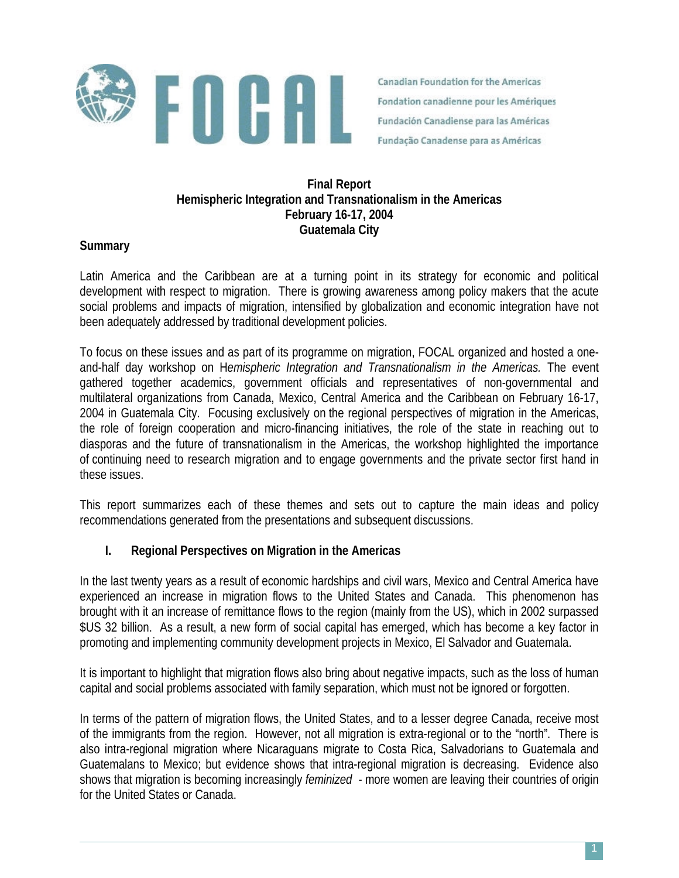

Canadian Foundation for the Americas Fondation canadienne pour les Amériques Fundación Canadiense para las Américas Fundação Canadense para as Américas

## **Final Report Hemispheric Integration and Transnationalism in the Americas February 16-17, 2004 Guatemala City**

### **Summary**

Latin America and the Caribbean are at a turning point in its strategy for economic and political development with respect to migration. There is growing awareness among policy makers that the acute social problems and impacts of migration, intensified by globalization and economic integration have not been adequately addressed by traditional development policies.

To focus on these issues and as part of its programme on migration, FOCAL organized and hosted a oneand-half day workshop on H*emispheric Integration and Transnationalism in the Americas.* The event gathered together academics, government officials and representatives of non-governmental and multilateral organizations from Canada, Mexico, Central America and the Caribbean on February 16-17, 2004 in Guatemala City. Focusing exclusively on the regional perspectives of migration in the Americas, the role of foreign cooperation and micro-financing initiatives, the role of the state in reaching out to diasporas and the future of transnationalism in the Americas, the workshop highlighted the importance of continuing need to research migration and to engage governments and the private sector first hand in these issues.

This report summarizes each of these themes and sets out to capture the main ideas and policy recommendations generated from the presentations and subsequent discussions.

### **I. Regional Perspectives on Migration in the Americas**

In the last twenty years as a result of economic hardships and civil wars, Mexico and Central America have experienced an increase in migration flows to the United States and Canada. This phenomenon has brought with it an increase of remittance flows to the region (mainly from the US), which in 2002 surpassed \$US 32 billion. As a result, a new form of social capital has emerged, which has become a key factor in promoting and implementing community development projects in Mexico, El Salvador and Guatemala.

It is important to highlight that migration flows also bring about negative impacts, such as the loss of human capital and social problems associated with family separation, which must not be ignored or forgotten.

In terms of the pattern of migration flows, the United States, and to a lesser degree Canada, receive most of the immigrants from the region. However, not all migration is extra-regional or to the "north". There is also intra-regional migration where Nicaraguans migrate to Costa Rica, Salvadorians to Guatemala and Guatemalans to Mexico; but evidence shows that intra-regional migration is decreasing. Evidence also shows that migration is becoming increasingly *feminized* - more women are leaving their countries of origin for the United States or Canada.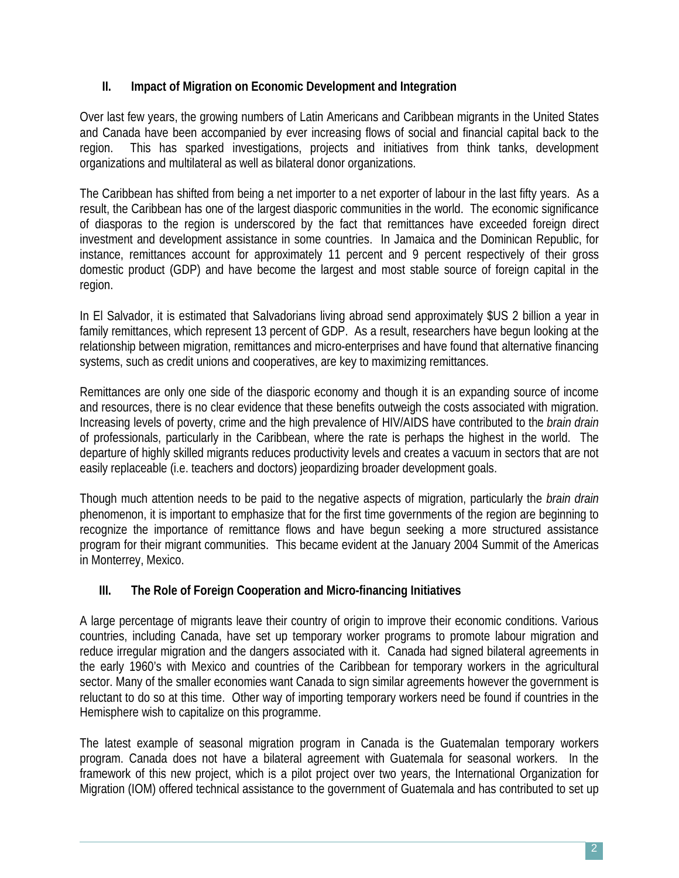# **II. Impact of Migration on Economic Development and Integration**

Over last few years, the growing numbers of Latin Americans and Caribbean migrants in the United States and Canada have been accompanied by ever increasing flows of social and financial capital back to the region. This has sparked investigations, projects and initiatives from think tanks, development organizations and multilateral as well as bilateral donor organizations.

The Caribbean has shifted from being a net importer to a net exporter of labour in the last fifty years. As a result, the Caribbean has one of the largest diasporic communities in the world. The economic significance of diasporas to the region is underscored by the fact that remittances have exceeded foreign direct investment and development assistance in some countries. In Jamaica and the Dominican Republic, for instance, remittances account for approximately 11 percent and 9 percent respectively of their gross domestic product (GDP) and have become the largest and most stable source of foreign capital in the region.

In El Salvador, it is estimated that Salvadorians living abroad send approximately \$US 2 billion a year in family remittances, which represent 13 percent of GDP. As a result, researchers have begun looking at the relationship between migration, remittances and micro-enterprises and have found that alternative financing systems, such as credit unions and cooperatives, are key to maximizing remittances.

Remittances are only one side of the diasporic economy and though it is an expanding source of income and resources, there is no clear evidence that these benefits outweigh the costs associated with migration. Increasing levels of poverty, crime and the high prevalence of HIV/AIDS have contributed to the *brain drain* of professionals, particularly in the Caribbean, where the rate is perhaps the highest in the world. The departure of highly skilled migrants reduces productivity levels and creates a vacuum in sectors that are not easily replaceable (i.e. teachers and doctors) jeopardizing broader development goals.

Though much attention needs to be paid to the negative aspects of migration, particularly the *brain drain* phenomenon, it is important to emphasize that for the first time governments of the region are beginning to recognize the importance of remittance flows and have begun seeking a more structured assistance program for their migrant communities. This became evident at the January 2004 Summit of the Americas in Monterrey, Mexico.

# **III. The Role of Foreign Cooperation and Micro-financing Initiatives**

A large percentage of migrants leave their country of origin to improve their economic conditions. Various countries, including Canada, have set up temporary worker programs to promote labour migration and reduce irregular migration and the dangers associated with it. Canada had signed bilateral agreements in the early 1960's with Mexico and countries of the Caribbean for temporary workers in the agricultural sector. Many of the smaller economies want Canada to sign similar agreements however the government is reluctant to do so at this time. Other way of importing temporary workers need be found if countries in the Hemisphere wish to capitalize on this programme.

The latest example of seasonal migration program in Canada is the Guatemalan temporary workers program. Canada does not have a bilateral agreement with Guatemala for seasonal workers. In the framework of this new project, which is a pilot project over two years, the International Organization for Migration (IOM) offered technical assistance to the government of Guatemala and has contributed to set up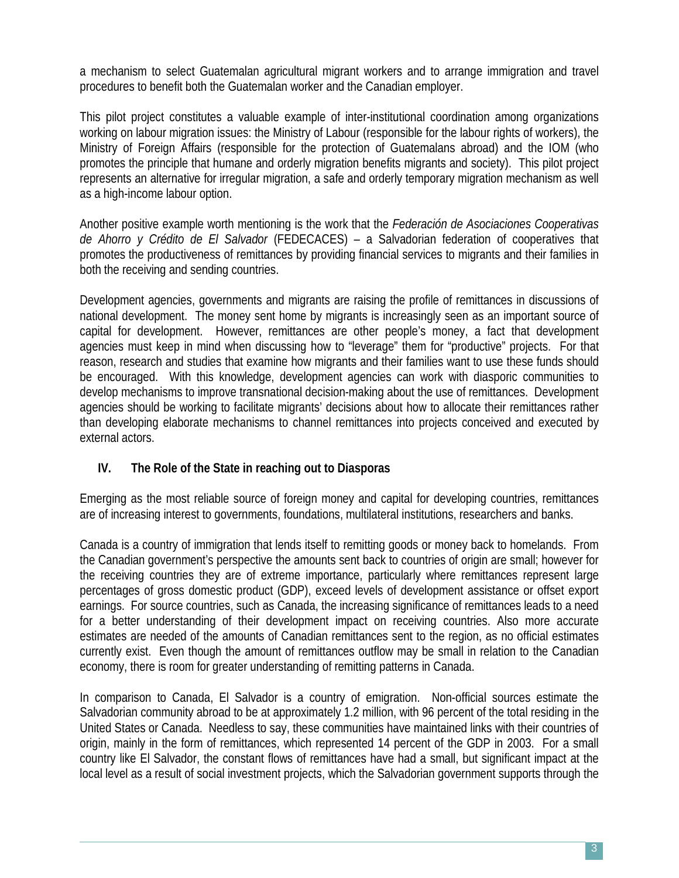a mechanism to select Guatemalan agricultural migrant workers and to arrange immigration and travel procedures to benefit both the Guatemalan worker and the Canadian employer.

This pilot project constitutes a valuable example of inter-institutional coordination among organizations working on labour migration issues: the Ministry of Labour (responsible for the labour rights of workers), the Ministry of Foreign Affairs (responsible for the protection of Guatemalans abroad) and the IOM (who promotes the principle that humane and orderly migration benefits migrants and society). This pilot project represents an alternative for irregular migration, a safe and orderly temporary migration mechanism as well as a high-income labour option.

Another positive example worth mentioning is the work that the *Federación de Asociaciones Cooperativas de Ahorro y Crédito de El Salvador* (FEDECACES) – a Salvadorian federation of cooperatives that promotes the productiveness of remittances by providing financial services to migrants and their families in both the receiving and sending countries.

Development agencies, governments and migrants are raising the profile of remittances in discussions of national development. The money sent home by migrants is increasingly seen as an important source of capital for development. However, remittances are other people's money, a fact that development agencies must keep in mind when discussing how to "leverage" them for "productive" projects. For that reason, research and studies that examine how migrants and their families want to use these funds should be encouraged. With this knowledge, development agencies can work with diasporic communities to develop mechanisms to improve transnational decision-making about the use of remittances. Development agencies should be working to facilitate migrants' decisions about how to allocate their remittances rather than developing elaborate mechanisms to channel remittances into projects conceived and executed by external actors.

## **IV. The Role of the State in reaching out to Diasporas**

Emerging as the most reliable source of foreign money and capital for developing countries, remittances are of increasing interest to governments, foundations, multilateral institutions, researchers and banks.

Canada is a country of immigration that lends itself to remitting goods or money back to homelands. From the Canadian government's perspective the amounts sent back to countries of origin are small; however for the receiving countries they are of extreme importance, particularly where remittances represent large percentages of gross domestic product (GDP), exceed levels of development assistance or offset export earnings. For source countries, such as Canada, the increasing significance of remittances leads to a need for a better understanding of their development impact on receiving countries. Also more accurate estimates are needed of the amounts of Canadian remittances sent to the region, as no official estimates currently exist. Even though the amount of remittances outflow may be small in relation to the Canadian economy, there is room for greater understanding of remitting patterns in Canada.

In comparison to Canada, El Salvador is a country of emigration. Non-official sources estimate the Salvadorian community abroad to be at approximately 1.2 million, with 96 percent of the total residing in the United States or Canada. Needless to say, these communities have maintained links with their countries of origin, mainly in the form of remittances, which represented 14 percent of the GDP in 2003. For a small country like El Salvador, the constant flows of remittances have had a small, but significant impact at the local level as a result of social investment projects, which the Salvadorian government supports through the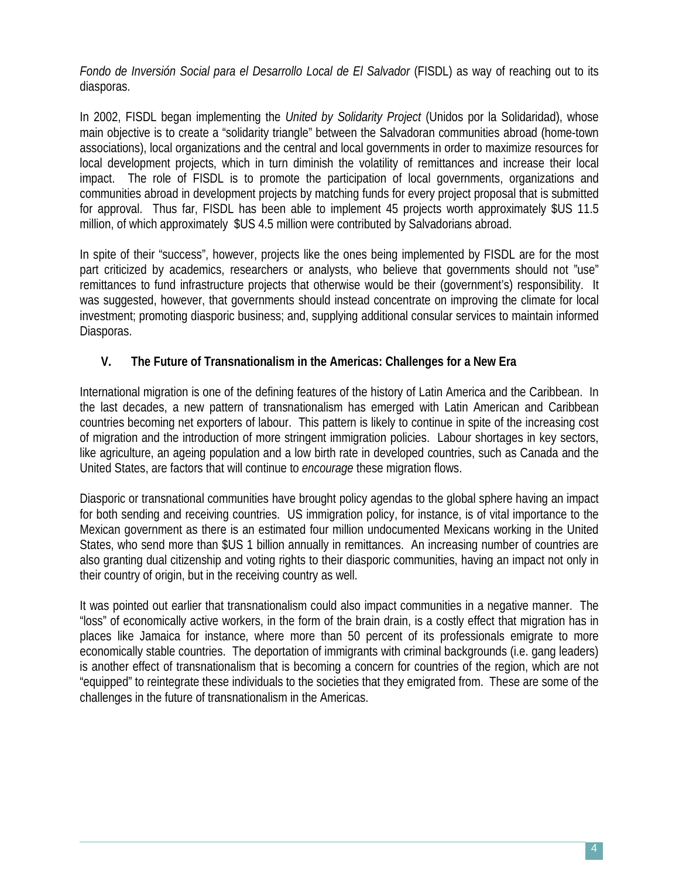*Fondo de Inversión Social para el Desarrollo Local de El Salvador* (FISDL) as way of reaching out to its diasporas.

In 2002, FISDL began implementing the *United by Solidarity Project* (Unidos por la Solidaridad), whose main objective is to create a "solidarity triangle" between the Salvadoran communities abroad (home-town associations), local organizations and the central and local governments in order to maximize resources for local development projects, which in turn diminish the volatility of remittances and increase their local impact. The role of FISDL is to promote the participation of local governments, organizations and communities abroad in development projects by matching funds for every project proposal that is submitted for approval. Thus far, FISDL has been able to implement 45 projects worth approximately \$US 11.5 million, of which approximately \$US 4.5 million were contributed by Salvadorians abroad.

In spite of their "success", however, projects like the ones being implemented by FISDL are for the most part criticized by academics, researchers or analysts, who believe that governments should not "use" remittances to fund infrastructure projects that otherwise would be their (government's) responsibility. It was suggested, however, that governments should instead concentrate on improving the climate for local investment; promoting diasporic business; and, supplying additional consular services to maintain informed Diasporas.

## **V. The Future of Transnationalism in the Americas: Challenges for a New Era**

International migration is one of the defining features of the history of Latin America and the Caribbean. In the last decades, a new pattern of transnationalism has emerged with Latin American and Caribbean countries becoming net exporters of labour. This pattern is likely to continue in spite of the increasing cost of migration and the introduction of more stringent immigration policies. Labour shortages in key sectors, like agriculture, an ageing population and a low birth rate in developed countries, such as Canada and the United States, are factors that will continue to *encourage* these migration flows.

Diasporic or transnational communities have brought policy agendas to the global sphere having an impact for both sending and receiving countries. US immigration policy, for instance, is of vital importance to the Mexican government as there is an estimated four million undocumented Mexicans working in the United States, who send more than \$US 1 billion annually in remittances. An increasing number of countries are also granting dual citizenship and voting rights to their diasporic communities, having an impact not only in their country of origin, but in the receiving country as well.

It was pointed out earlier that transnationalism could also impact communities in a negative manner. The "loss" of economically active workers, in the form of the brain drain, is a costly effect that migration has in places like Jamaica for instance, where more than 50 percent of its professionals emigrate to more economically stable countries. The deportation of immigrants with criminal backgrounds (i.e. gang leaders) is another effect of transnationalism that is becoming a concern for countries of the region, which are not "equipped" to reintegrate these individuals to the societies that they emigrated from. These are some of the challenges in the future of transnationalism in the Americas.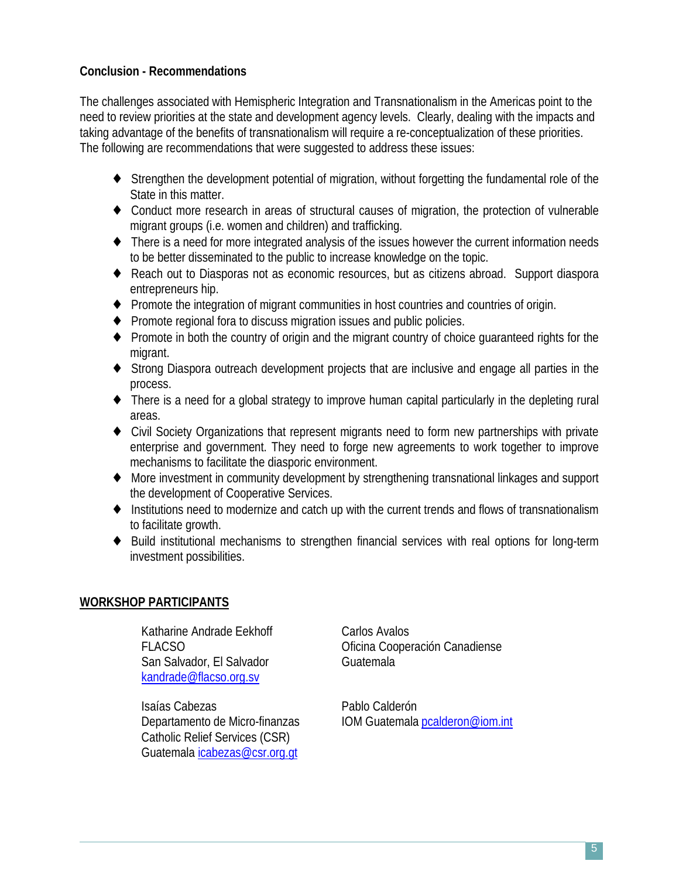### **Conclusion - Recommendations**

The challenges associated with Hemispheric Integration and Transnationalism in the Americas point to the need to review priorities at the state and development agency levels. Clearly, dealing with the impacts and taking advantage of the benefits of transnationalism will require a re-conceptualization of these priorities. The following are recommendations that were suggested to address these issues:

- ♦ Strengthen the development potential of migration, without forgetting the fundamental role of the State in this matter.
- ♦ Conduct more research in areas of structural causes of migration, the protection of vulnerable migrant groups (i.e. women and children) and trafficking.
- ♦ There is a need for more integrated analysis of the issues however the current information needs to be better disseminated to the public to increase knowledge on the topic.
- ♦ Reach out to Diasporas not as economic resources, but as citizens abroad. Support diaspora entrepreneurs hip.
- ♦ Promote the integration of migrant communities in host countries and countries of origin.
- ♦ Promote regional fora to discuss migration issues and public policies.
- ♦ Promote in both the country of origin and the migrant country of choice guaranteed rights for the migrant.
- ♦ Strong Diaspora outreach development projects that are inclusive and engage all parties in the process.
- ♦ There is a need for a global strategy to improve human capital particularly in the depleting rural areas.
- ♦ Civil Society Organizations that represent migrants need to form new partnerships with private enterprise and government. They need to forge new agreements to work together to improve mechanisms to facilitate the diasporic environment.
- ♦ More investment in community development by strengthening transnational linkages and support the development of Cooperative Services.
- ♦ Institutions need to modernize and catch up with the current trends and flows of transnationalism to facilitate growth.
- ♦ Build institutional mechanisms to strengthen financial services with real options for long-term investment possibilities.

### **WORKSHOP PARTICIPANTS**

Katharine Andrade Eekhoff FLACSO San Salvador, El Salvador kandrade@flacso.org.sv

Isaías Cabezas Departamento de Micro-finanzas Catholic Relief Services (CSR) Guatemala icabezas@csr.org.gt

Carlos Avalos Oficina Cooperación Canadiense Guatemala

Pablo Calderón IOM Guatemala pcalderon@iom.int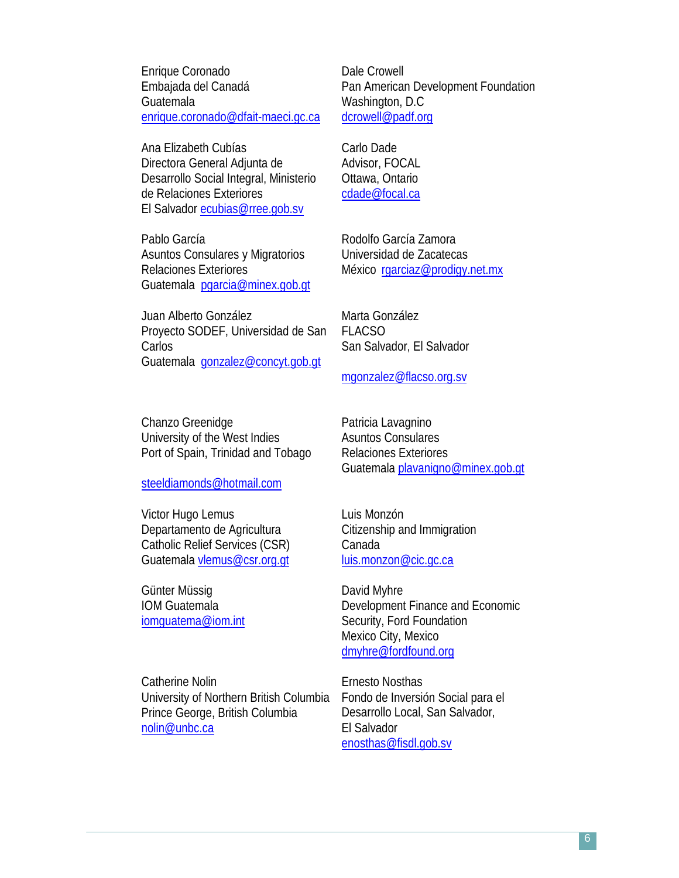Enrique Coronado Embajada del Canadá Guatemala enrique.coronado@dfait-maeci.gc.ca

Ana Elizabeth Cubías Directora General Adjunta de Desarrollo Social Integral, Ministerio de Relaciones Exteriores El Salvador ecubias@rree.gob.sv

Pablo García Asuntos Consulares y Migratorios Relaciones Exteriores Guatemala pgarcia@minex.gob.gt

Juan Alberto González Proyecto SODEF, Universidad de San Carlos Guatemala gonzalez@concyt.gob.gt

Chanzo Greenidge University of the West Indies Port of Spain, Trinidad and Tobago

steeldiamonds@hotmail.com

Victor Hugo Lemus Departamento de Agricultura Catholic Relief Services (CSR) Guatemala vlemus@csr.org.gt

Günter Müssig IOM Guatemala iomguatema@iom.int

Catherine Nolin University of Northern British Columbia Prince George, British Columbia nolin@unbc.ca

Dale Crowell Pan American Development Foundation Washington, D.C dcrowell@padf.org

Carlo Dade Advisor, FOCAL Ottawa, Ontario cdade@focal.ca

Rodolfo García Zamora Universidad de Zacatecas México rgarciaz@prodigy.net.mx

Marta González FLACSO San Salvador, El Salvador

mgonzalez@flacso.org.sv

Patricia Lavagnino Asuntos Consulares Relaciones Exteriores Guatemala plavaniqno@minex.gob.gt

Luis Monzón Citizenship and Immigration Canada luis.monzon@cic.gc.ca

David Myhre Development Finance and Economic Security, Ford Foundation Mexico City, Mexico dmyhre@fordfound.org

Ernesto Nosthas Fondo de Inversión Social para el Desarrollo Local, San Salvador, El Salvador enosthas@fisdl.gob.sv